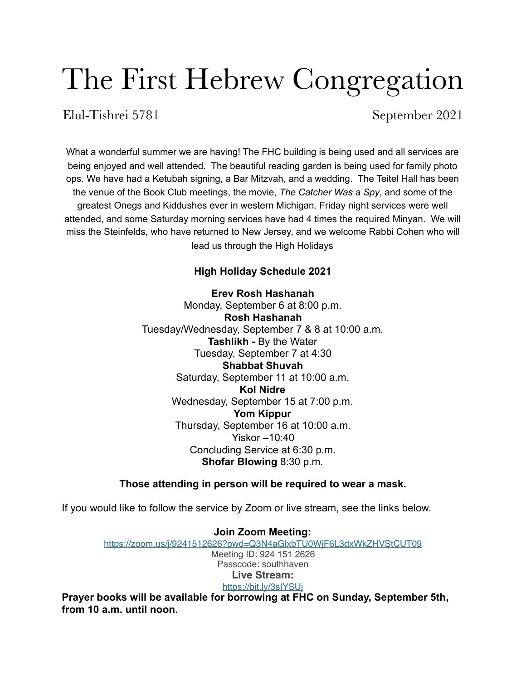# The First Hebrew Congregation

Elul-Tishrei 5781 September 2021

What a wonderful summer we are having! The FHC building is being used and all services are being enjoyed and well attended. The beautiful reading garden is being used for family photo ops. We have had a Ketubah signing, a Bar Mitzvah, and a wedding. The Teitel Hall has been the venue of the Book Club meetings, the movie, *The Catcher Was a Spy*, and some of the greatest Onegs and Kiddushes ever in western Michigan. Friday night services were well attended, and some Saturday morning services have had 4 times the required Minyan. We will miss the Steinfelds, who have returned to New Jersey, and we welcome Rabbi Cohen who will lead us through the High Holidays

## **High Holiday Schedule 2021**

**Erev Rosh Hashanah** Monday, September 6 at 8:00 p.m. **Rosh Hashanah** Tuesday/Wednesday, September 7 & 8 at 10:00 a.m. **Tashlikh -** By the Water Tuesday, September 7 at 4:30 **Shabbat Shuvah** Saturday, September 11 at 10:00 a.m. **Kol Nidre** Wednesday, September 15 at 7:00 p.m. **Yom Kippur** Thursday, September 16 at 10:00 a.m. Yiskor –10:40 Concluding Service at 6:30 p.m. **Shofar Blowing** 8:30 p.m.

### **Those attending in person will be required to wear a mask.**

If you would like to follow the service by Zoom or live stream, see the links below.

**Join Zoom Meeting:**  <https://zoom.us/j/9241512626?pwd=Q3N4aGlxbTU0WjF6L3dxWkZHVStCUT09> Meeting ID: 924 151 2626 Passcode: southhaven **Live Stream:** <https://bit.ly/3sIYSUj>

**Prayer books will be available for borrowing at FHC on Sunday, September 5th, from 10 a.m. until noon.**